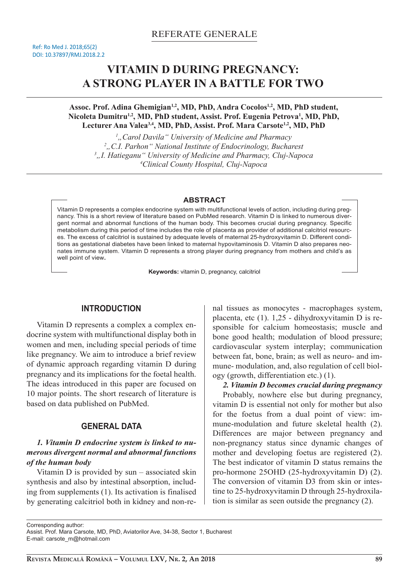# **VITAMIN D DURING PREGNANCY: A STRONG PLAYER IN A BATTLE FOR TWO**

**Assoc. Prof. Adina Ghemigian1,2, MD, PhD, Andra Cocolos1,2, MD, PhD student, Nicoleta Dumitru1,2, MD, PhD student, Assist. Prof. Eugenia Petrova<sup>1</sup> , MD, PhD, Lecturer Ana Valea3,4, MD, PhD, Assist. Prof. Mara Carsote1,2, MD, PhD** 

*"Carol Davila" University of Medicine and Pharmacy "C.I. Parhon" National Institute of Endocrinology, Bucharest* <sup>3</sup>, I. Hatieganu" University of Medicine and Pharmacy, Cluj-Napoca *Clinical County Hospital, Cluj-Napoca* 

#### **ABSTRACT**

Vitamin D represents a complex endocrine system with multifunctional levels of action, including during pregnancy. This is a short review of literature based on PubMed research. Vitamin D is linked to numerous divergent normal and abnormal functions of the human body. This becomes crucial during pregnancy. Specific metabolism during this period of time includes the role of placenta as provider of additional calcitriol resources. The excess of calcitriol is sustained by adequate levels of maternal 25-hydroxyvitamin D. Different conditions as gestational diabetes have been linked to maternal hypovitaminosis D. Vitamin D also prepares neonates immune system. Vitamin D represents a strong player during pregnancy from mothers and child's as well point of view**.** 

**Keywords:** vitamin D, pregnancy, calcitriol

## **INTRODUCTION**

Vitamin D represents a complex a complex endocrine system with multifunctional display both in women and men, including special periods of time like pregnancy. We aim to introduce a brief review of dynamic approach regarding vitamin D during pregnancy and its implications for the foetal health. The ideas introduced in this paper are focused on 10 major points. The short research of literature is based on data published on PubMed.

## **GENERAL DATA**

## *1. Vitamin D endocrine system is linked to numerous divergent normal and abnormal functions of the human body*

Vitamin D is provided by sun – associated skin synthesis and also by intestinal absorption, including from supplements (1). Its activation is finalised by generating calcitriol both in kidney and non-renal tissues as monocytes - macrophages system, placenta, etc (1). 1,25 - dihydroxyvitamin D is responsible for calcium homeostasis; muscle and bone good health; modulation of blood pressure; cardiovascular system interplay; communication between fat, bone, brain; as well as neuro- and immune- modulation, and, also regulation of cell biology (growth, differentiation etc.) (1).

*2. Vitamin D becomes crucial during pregnancy* Probably, nowhere else but during pregnancy, vitamin D is essential not only for mother but also for the foetus from a dual point of view: immune-modulation and future skeletal health (2). Differences are major between pregnancy and non-pregnancy status since dynamic changes of mother and developing foetus are registered (2). The best indicator of vitamin D status remains the pro-hormone 25OHD (25-hydroxyvitamin D) (2). The conversion of vitamin D3 from skin or intestine to 25-hydroxyvitamin D through 25-hydroxila-

tion is similar as seen outside the pregnancy (2).

Corresponding author:

Assist. Prof. Mara Carsote, MD, PhD, Aviatorilor Ave, 34-38, Sector 1, Bucharest E-mail: carsote\_m@hotmail.com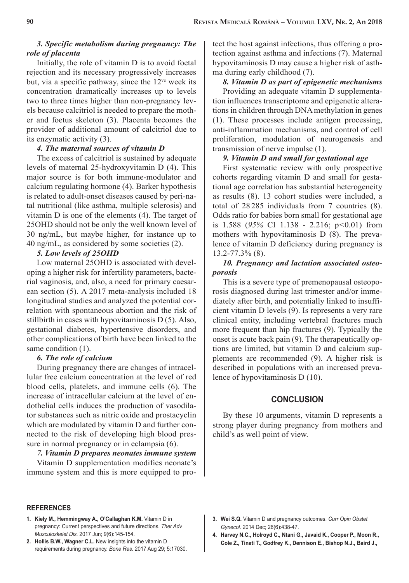#### *3. Specific metabolism during pregnancy: The role of placenta*

Initially, the role of vitamin D is to avoid foetal rejection and its necessary progressively increases but, via a specific pathway, since the  $12<sup>ve</sup>$  week its concentration dramatically increases up to levels two to three times higher than non-pregnancy levels because calcitriol is needed to prepare the mother and foetus skeleton (3). Placenta becomes the provider of additional amount of calcitriol due to its enzymatic activity (3).

#### *4. The maternal sources of vitamin D*

The excess of calcitriol is sustained by adequate levels of maternal 25-hydroxyvitamin D (4). This major source is for both immune-modulator and calcium regulating hormone (4). Barker hypothesis is related to adult-onset diseases caused by peri-natal nutritional (like asthma, multiple sclerosis) and vitamin D is one of the elements (4). The target of 25OHD should not be only the well known level of 30 ng/mL, but maybe higher, for instance up to 40 ng/mL, as considered by some societies (2).

#### *5. Low levels of 25OHD*

Low maternal 25OHD is associated with developing a higher risk for infertility parameters, bacterial vaginosis, and, also, a need for primary caesarean section (5). A 2017 meta-analysis included 18 longitudinal studies and analyzed the potential correlation with spontaneous abortion and the risk of stillbirth in cases with hypovitaminosis D (5). Also, gestational diabetes, hypertensive disorders, and other complications of birth have been linked to the same condition  $(1)$ .

### *6. The role of calcium*

During pregnancy there are changes of intracellular free calcium concentration at the level of red blood cells, platelets, and immune cells (6). The increase of intracellular calcium at the level of endothelial cells induces the production of vasodilator substances such as nitric oxide and prostacyclin which are modulated by vitamin D and further connected to the risk of developing high blood pressure in normal pregnancy or in eclampsia (6).

*7. Vitamin D prepares neonates immune system*  Vitamin D supplementation modifies neonate's immune system and this is more equipped to protect the host against infections, thus offering a protection against asthma and infections (7). Maternal hypovitaminosis D may cause a higher risk of asthma during early childhood (7).

## *8. Vitamin D as part of epigenetic mechanisms*  Providing an adequate vitamin D supplementation influences transcriptome and epigenetic alterations in children through DNA methylation in genes (1). These processes include antigen processing, anti-inflammation mechanisms, and control of cell proliferation, modulation of neurogenesis and transmission of nerve impulse (1).

### *9. Vitamin D and small for gestational age*

First systematic review with only prospective cohorts regarding vitamin D and small for gestational age correlation has substantial heterogeneity as results (8). 13 cohort studies were included, a total of 28 285 individuals from 7 countries (8). Odds ratio for babies born small for gestational age is 1.588 (*95%* CI 1.138 - 2.216; p*<*0.01) from mothers with hypovitaminosis D (8). The prevalence of vitamin D deficiency during pregnancy is 13.2-77.3% (8).

## *10. Pregnancy and lactation associated osteoporosis*

This is a severe type of premenopausal osteoporosis diagnosed during last trimester and/or immediately after birth, and potentially linked to insufficient vitamin D levels (9). Is represents a very rare clinical entity, including vertebral fractures much more frequent than hip fractures (9). Typically the onset is acute back pain (9). The therapeutically options are limited, but vitamin D and calcium supplements are recommended (9). A higher risk is described in populations with an increased prevalence of hypovitaminosis D (10).

## **CONCLUSION**

By these 10 arguments, vitamin D represents a strong player during pregnancy from mothers and child's as well point of view.

- **REFERENCES**
- **1. Kiely M., Hemmingway A., O'Callaghan K.M.** Vitamin D in pregnancy: Current perspectives and future directions. *Ther Adv Musculoskelet Dis.* 2017 Jun; 9(6):145-154.
- **2. Hollis B.W., Wagner C.L.** New insights into the vitamin D requirements during pregnancy. *Bone Res.* 2017 Aug 29; 5:17030.
- **3. Wei S.Q.** Vitamin D and pregnancy outcomes. *Curr Opin Obstet Gynecol.* 2014 Dec; 26(6):438-47.
- **4. Harvey N.C., Holroyd C., Ntani G., Javaid K., Cooper P., Moon R., Cole Z., Tinati T., Godfrey K., Dennison E., Bishop N.J., Baird J.,**